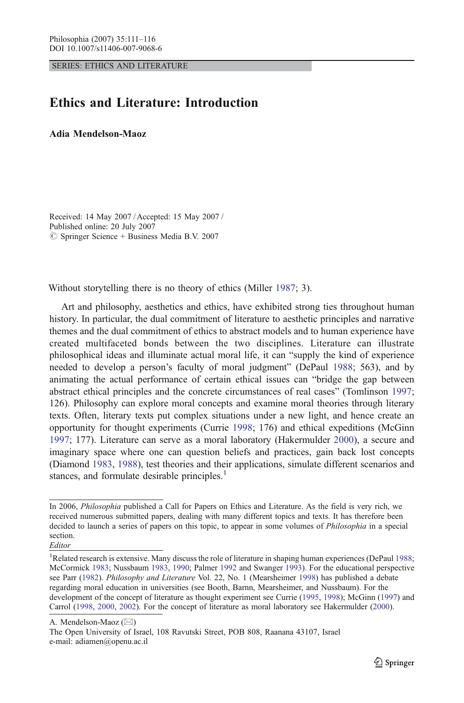SERIES: ETHICS AND LITERATURE

## Ethics and Literature: Introduction

Adia Mendelson-Maoz

Received: 14 May 2007 / Accepted: 15 May 2007 / Published online: 20 July 2007  $\circ$  Springer Science + Business Media B.V. 2007

Without storytelling there is no theory of ethics (Miller [1987;](#page-4-0) 3).

Art and philosophy, aesthetics and ethics, have exhibited strong ties throughout human history. In particular, the dual commitment of literature to aesthetic principles and narrative themes and the dual commitment of ethics to abstract models and to human experience have created multifaceted bonds between the two disciplines. Literature can illustrate philosophical ideas and illuminate actual moral life, it can "supply the kind of experience needed to develop a person's faculty of moral judgment" (DePaul [1988](#page-3-0); 563), and by animating the actual performance of certain ethical issues can "bridge the gap between abstract ethical principles and the concrete circumstances of real cases" (Tomlinson [1997](#page-5-0); 126). Philosophy can explore moral concepts and examine moral theories through literary texts. Often, literary texts put complex situations under a new light, and hence create an opportunity for thought experiments (Currie [1998](#page-3-0); 176) and ethical expeditions (McGinn [1997;](#page-4-0) 177). Literature can serve as a moral laboratory (Hakermulder [2000](#page-4-0)), a secure and imaginary space where one can question beliefs and practices, gain back lost concepts (Diamond [1983](#page-3-0), [1988](#page-3-0)), test theories and their applications, simulate different scenarios and stances, and formulate desirable principles.<sup>1</sup>

The Open University of Israel, 108 Ravutski Street, POB 808, Raanana 43107, Israel e-mail: adiamen@openu.ac.il

In 2006, *Philosophia* published a Call for Papers on Ethics and Literature. As the field is very rich, we received numerous submitted papers, dealing with many different topics and texts. It has therefore been decided to launch a series of papers on this topic, to appear in some volumes of Philosophia in a special section.

Editor

<sup>&</sup>lt;sup>1</sup>Related research is extensive. Many discuss the role of literature in shaping human experiences (DePaul [1988](#page-3-0); McCormick [1983](#page-4-0); Nussbaum [1983](#page-4-0), [1990](#page-4-0); Palmer [1992](#page-4-0) and Swanger [1993](#page-5-0)). For the educational perspective see Parr ([1982](#page-5-0)). Philosophy and Literature Vol. 22, No. 1 (Mearsheimer [1998](#page-4-0)) has published a debate regarding moral education in universities (see Booth, Barnn, Mearsheimer, and Nussbaum). For the development of the concept of literature as thought experiment see Currie [\(1995](#page-3-0), [1998](#page-3-0)); McGinn [\(1997](#page-4-0)) and Carrol [\(1998,](#page-3-0) [2000](#page-3-0), [2002\)](#page-3-0). For the concept of literature as moral laboratory see Hakermulder [\(2000](#page-4-0)).

A. Mendelson-Maoz ( $\boxtimes$ )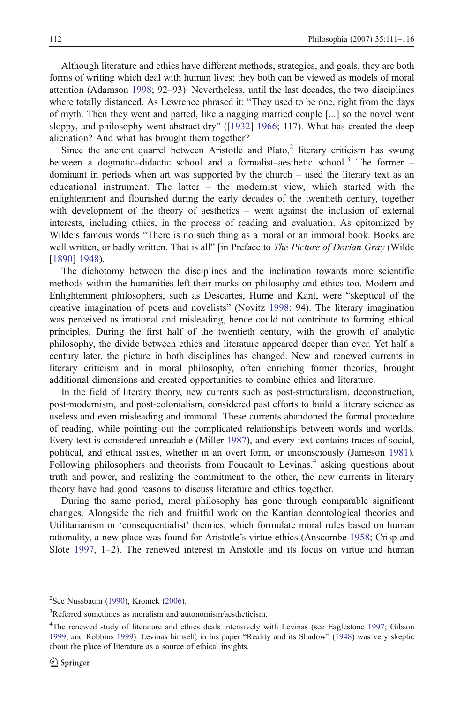Although literature and ethics have different methods, strategies, and goals, they are both forms of writing which deal with human lives; they both can be viewed as models of moral attention (Adamson [1998;](#page-3-0) 92–93). Nevertheless, until the last decades, the two disciplines where totally distanced. As Lewrence phrased it: "They used to be one, right from the days of myth. Then they went and parted, like a nagging married couple [...] so the novel went sloppy, and philosophy went abstract-dry" ([\[1932](#page-4-0)] [1966](#page-4-0); 117). What has created the deep alienation? And what has brought them together?

Since the ancient quarrel between Aristotle and Plato, $\frac{2}{3}$  literary criticism has swung between a dogmatic-didactic school and a formalist-aesthetic school.<sup>3</sup> The former dominant in periods when art was supported by the church – used the literary text as an educational instrument. The latter – the modernist view, which started with the enlightenment and flourished during the early decades of the twentieth century, together with development of the theory of aesthetics – went against the inclusion of external interests, including ethics, in the process of reading and evaluation. As epitomized by Wilde's famous words "There is no such thing as a moral or an immoral book. Books are well written, or badly written. That is all" [in Preface to *The Picture of Dorian Gray* (Wilde [[1890\]](#page-5-0) [1948\)](#page-5-0).

The dichotomy between the disciplines and the inclination towards more scientific methods within the humanities left their marks on philosophy and ethics too. Modern and Enlightenment philosophers, such as Descartes, Hume and Kant, were "skeptical of the creative imagination of poets and novelists" (Novitz [1998:](#page-4-0) 94). The literary imagination was perceived as irrational and misleading, hence could not contribute to forming ethical principles. During the first half of the twentieth century, with the growth of analytic philosophy, the divide between ethics and literature appeared deeper than ever. Yet half a century later, the picture in both disciplines has changed. New and renewed currents in literary criticism and in moral philosophy, often enriching former theories, brought additional dimensions and created opportunities to combine ethics and literature.

In the field of literary theory, new currents such as post-structuralism, deconstruction, post-modernism, and post-colonialism, considered past efforts to build a literary science as useless and even misleading and immoral. These currents abandoned the formal procedure of reading, while pointing out the complicated relationships between words and worlds. Every text is considered unreadable (Miller [1987\)](#page-4-0), and every text contains traces of social, political, and ethical issues, whether in an overt form, or unconsciously (Jameson [1981](#page-4-0)). Following philosophers and theorists from Foucault to Levinas, $4$  asking questions about truth and power, and realizing the commitment to the other, the new currents in literary theory have had good reasons to discuss literature and ethics together.

During the same period, moral philosophy has gone through comparable significant changes. Alongside the rich and fruitful work on the Kantian deontological theories and Utilitarianism or 'consequentialist' theories, which formulate moral rules based on human rationality, a new place was found for Aristotle's virtue ethics (Anscombe [1958](#page-3-0); Crisp and Slote [1997](#page-3-0), 1–2). The renewed interest in Aristotle and its focus on virtue and human

<sup>&</sup>lt;sup>2</sup>See Nussbaum [\(1990](#page-4-0)), Kronick [\(2006](#page-4-0)).

<sup>&</sup>lt;sup>3</sup>Referred sometimes as moralism and autonomism/aestheticism.

<sup>&</sup>lt;sup>4</sup>The renewed study of literature and ethics deals intensively with Levinas (see Eaglestone [1997](#page-3-0); Gibson [1999,](#page-3-0) and Robbins [1999](#page-5-0)). Levinas himself, in his paper "Reality and its Shadow" ([1948](#page-4-0)) was very skeptic about the place of literature as a source of ethical insights.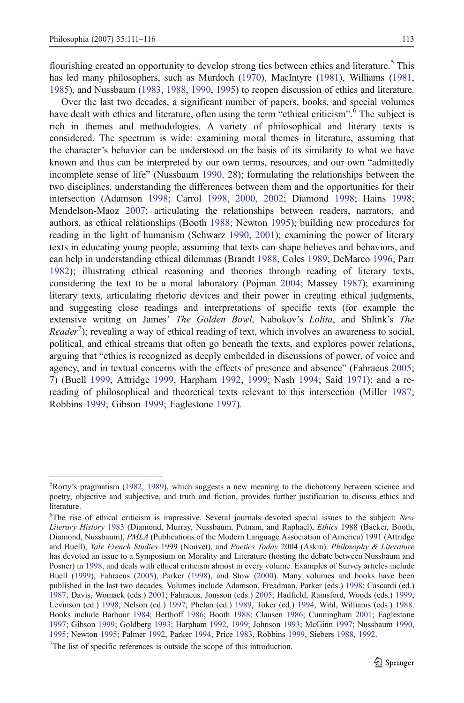flourishing created an opportunity to develop strong ties between ethics and literature.<sup>5</sup> This has led many philosophers, such as Murdoch ([1970](#page-4-0)), MacIntyre ([1981](#page-4-0)), Williams ([1981](#page-5-0), [1985](#page-5-0)), and Nussbaum [\(1983,](#page-4-0) [1988](#page-4-0), [1990,](#page-4-0) [1995](#page-4-0)) to reopen discussion of ethics and literature.

Over the last two decades, a significant number of papers, books, and special volumes have dealt with ethics and literature, often using the term "ethical criticism".<sup>6</sup> The subject is rich in themes and methodologies. A variety of philosophical and literary texts is considered. The spectrum is wide: examining moral themes in literature, assuming that the character's behavior can be understood on the basis of its similarity to what we have known and thus can be interpreted by our own terms, resources, and our own "admittedly incomplete sense of life" (Nussbaum [1990](#page-4-0). 28); formulating the relationships between the two disciplines, understanding the differences between them and the opportunities for their intersection (Adamson [1998](#page-3-0); Carrol [1998](#page-3-0), [2000,](#page-3-0) [2002;](#page-3-0) Diamond [1998;](#page-3-0) Hains [1998](#page-4-0); Mendelson-Maoz [2007;](#page-4-0) articulating the relationships between readers, narrators, and authors, as ethical relationships (Booth [1988;](#page-3-0) Newton [1995](#page-4-0)); building new procedures for reading in the light of humanism (Schwarz [1990,](#page-5-0) [2001\)](#page-5-0); examining the power of literary texts in educating young people, assuming that texts can shape believes and behaviors, and can help in understanding ethical dilemmas (Brandt [1988,](#page-3-0) Coles [1989](#page-3-0); DeMarco [1996](#page-3-0); Parr [1982\)](#page-5-0); illustrating ethical reasoning and theories through reading of literary texts, considering the text to be a moral laboratory (Pojman [2004;](#page-5-0) Massey [1987](#page-4-0)); examining literary texts, articulating rhetoric devices and their power in creating ethical judgments, and suggesting close readings and interpretations of specific texts (for example the extensive writing on James' The Golden Bowl, Nabokov's Lolita, and Shlink's The  $Reader^7$ ); revealing a way of ethical reading of text, which involves an awareness to social, political, and ethical streams that often go beneath the texts, and explores power relations, arguing that "ethics is recognized as deeply embedded in discussions of power, of voice and agency, and in textual concerns with the effects of presence and absence" (Fahraeus [2005](#page-3-0); 7) (Buell [1999](#page-3-0), Attridge [1999,](#page-3-0) Harpham [1992](#page-4-0), [1999](#page-4-0); Nash [1994;](#page-4-0) Said [1971\)](#page-5-0); and a rereading of philosophical and theoretical texts relevant to this intersection (Miller [1987](#page-4-0); Robbins [1999](#page-5-0); Gibson [1999](#page-3-0); Eaglestone [1997\)](#page-3-0).

<sup>&</sup>lt;sup>5</sup>Rorty's pragmatism ([1982](#page-5-0), [1989](#page-5-0)), which suggests a new meaning to the dichotomy between science and poetry, objective and subjective, and truth and fiction, provides further justification to discuss ethics and literature.

<sup>&</sup>lt;sup>6</sup>The rise of ethical criticism is impressive. Several journals devoted special issues to the subject: New Literary History [1983](#page-4-0) (Diamond, Murray, Nussbaum, Putnam, and Raphael), *Ethics* 1988 (Backer, Booth, Diamond, Nussbaum), PMLA (Publications of the Modern Language Association of America) 1991 (Attridge and Buell), Yale French Studies 1999 (Nouvet), and Poetics Today 2004 (Askin). Philosophy & Literature has devoted an issue to a Symposium on Morality and Literature (hosting the debate between Nussbaum and Posner) in [1998,](#page-5-0) and deals with ethical criticism almost in every volume. Examples of Survey articles include Buell [\(1999](#page-3-0)), Fahraeus ([2005](#page-3-0)), Parker ([1998\)](#page-4-0), and Stow [\(2000](#page-5-0)). Many volumes and books have been published in the last two decades. Volumes include Adamson, Freadman, Parker (eds.) [1998](#page-3-0); Cascardi (ed.) [1987;](#page-3-0) Davis, Womack (eds.) [2001;](#page-3-0) Fahraeus, Jonsson (eds.) [2005;](#page-3-0) Hadfield, Rainsford, Woods (eds.) [1999](#page-3-0); Levinson (ed.) [1998](#page-4-0), Nelson (ed.) [1997;](#page-4-0) Phelan (ed.) [1989](#page-5-0), Toker (ed.) [1994,](#page-5-0) Wihl, Williams (eds.) [1988.](#page-5-0) Books include Barbour [1984;](#page-3-0) Berthoff [1986;](#page-3-0) Booth [1988](#page-3-0); Clausen [1986](#page-3-0); Cunningham [2001;](#page-3-0) Eaglestone [1997;](#page-3-0) Gibson [1999;](#page-3-0) Goldberg [1993;](#page-3-0) Harpham [1992](#page-4-0), [1999;](#page-4-0) Johnson [1993](#page-4-0); McGinn [1997;](#page-4-0) Nussbaum [1990,](#page-4-0) [1995;](#page-4-0) Newton [1995;](#page-4-0) Palmer [1992](#page-4-0), Parker [1994](#page-4-0), Price [1983](#page-5-0), Robbins [1999,](#page-5-0) Siebers [1988](#page-5-0), [1992.](#page-5-0)

<sup>&</sup>lt;sup>7</sup>The list of specific references is outside the scope of this introduction.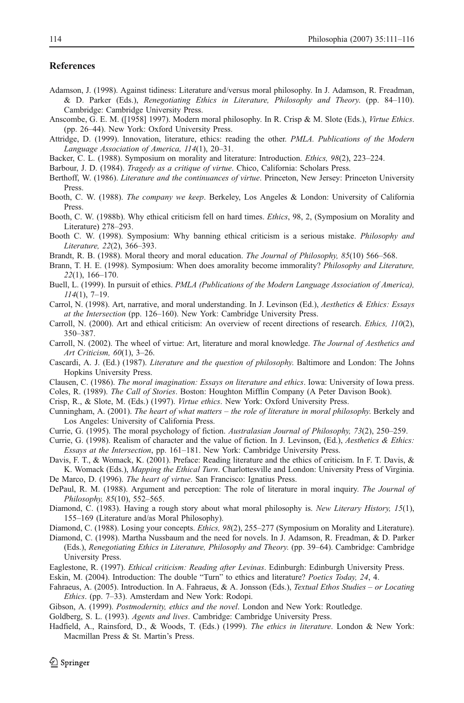## <span id="page-3-0"></span>References

- Adamson, J. (1998). Against tidiness: Literature and/versus moral philosophy. In J. Adamson, R. Freadman, & D. Parker (Eds.), Renegotiating Ethics in Literature, Philosophy and Theory. (pp. 84–110). Cambridge: Cambridge University Press.
- Anscombe, G. E. M. ([1958] 1997). Modern moral philosophy. In R. Crisp & M. Slote (Eds.), Virtue Ethics. (pp. 26–44). New York: Oxford University Press.
- Attridge, D. (1999). Innovation, literature, ethics: reading the other. PMLA. Publications of the Modern Language Association of America, 114(1), 20–31.
- Backer, C. L. (1988). Symposium on morality and literature: Introduction. Ethics, 98(2), 223–224.

Barbour, J. D. (1984). *Tragedy as a critique of virtue*. Chico, California: Scholars Press.

- Berthoff, W. (1986). *Literature and the continuances of virtue*. Princeton, New Jersey: Princeton University Press.
- Booth, C. W. (1988). The company we keep. Berkeley, Los Angeles & London: University of California Press.
- Booth, C. W. (1988b). Why ethical criticism fell on hard times. *Ethics*, 98, 2, (Symposium on Morality and Literature) 278–293.
- Booth C. W. (1998). Symposium: Why banning ethical criticism is a serious mistake. Philosophy and Literature, 22(2), 366–393.
- Brandt, R. B. (1988). Moral theory and moral education. The Journal of Philosophy, 85(10) 566–568.
- Brann, T. H. E. (1998). Symposium: When does amorality become immorality? *Philosophy and Literature*, 22(1), 166–170.
- Buell, L. (1999). In pursuit of ethics. *PMLA (Publications of the Modern Language Association of America)*, 114(1), 7–19.
- Carrol, N. (1998). Art, narrative, and moral understanding. In J. Levinson (Ed.), Aesthetics & Ethics: Essays at the Intersection (pp. 126–160). New York: Cambridge University Press.
- Carroll, N. (2000). Art and ethical criticism: An overview of recent directions of research. Ethics, 110(2), 350–387.
- Carroll, N. (2002). The wheel of virtue: Art, literature and moral knowledge. The Journal of Aesthetics and Art Criticism, 60(1), 3–26.
- Cascardi, A. J. (Ed.) (1987). Literature and the question of philosophy. Baltimore and London: The Johns Hopkins University Press.
- Clausen, C. (1986). The moral imagination: Essays on literature and ethics. Iowa: University of Iowa press.
- Coles, R. (1989). The Call of Stories. Boston: Houghton Mifflin Company (A Peter Davison Book).

Crisp, R., & Slote, M. (Eds.) (1997). Virtue ethics. New York: Oxford University Press.

- Cunningham, A. (2001). The heart of what matters the role of literature in moral philosophy. Berkely and Los Angeles: University of California Press.
- Currie, G. (1995). The moral psychology of fiction. Australasian Journal of Philosophy, 73(2), 250–259.
- Currie, G. (1998). Realism of character and the value of fiction. In J. Levinson, (Ed.), Aesthetics & Ethics: Essays at the Intersection, pp. 161–181. New York: Cambridge University Press.
- Davis, F. T., & Womack, K. (2001). Preface: Reading literature and the ethics of criticism. In F. T. Davis, & K. Womack (Eds.), Mapping the Ethical Turn. Charlottesville and London: University Press of Virginia. De Marco, D. (1996). The heart of virtue. San Francisco: Ignatius Press.

DePaul, R. M. (1988). Argument and perception: The role of literature in moral inquiry. The Journal of

- Philosophy, 85(10), 552–565.
- Diamond, C. (1983). Having a rough story about what moral philosophy is. New Literary History, 15(1), 155–169 (Literature and/as Moral Philosophy).

Diamond, C. (1988). Losing your concepts. Ethics, 98(2), 255–277 (Symposium on Morality and Literature).

- Diamond, C. (1998). Martha Nussbaum and the need for novels. In J. Adamson, R. Freadman, & D. Parker (Eds.), Renegotiating Ethics in Literature, Philosophy and Theory. (pp. 39–64). Cambridge: Cambridge University Press.
- Eaglestone, R. (1997). Ethical criticism: Reading after Levinas. Edinburgh: Edinburgh University Press.

Eskin, M. (2004). Introduction: The double "Turn" to ethics and literature? Poetics Today, 24, 4.

- Fahraeus, A. (2005). Introduction. In A. Fahraeus, & A. Jonsson (Eds.), Textual Ethos Studies or Locating Ethics. (pp. 7–33). Amsterdam and New York: Rodopi.
- Gibson, A. (1999). Postmodernity, ethics and the novel. London and New York: Routledge.
- Goldberg, S. L. (1993). Agents and lives. Cambridge: Cambridge University Press.
- Hadfield, A., Rainsford, D., & Woods, T. (Eds.) (1999). The ethics in literature. London & New York: Macmillan Press & St. Martin's Press.

 $\mathcal{Q}$  Springer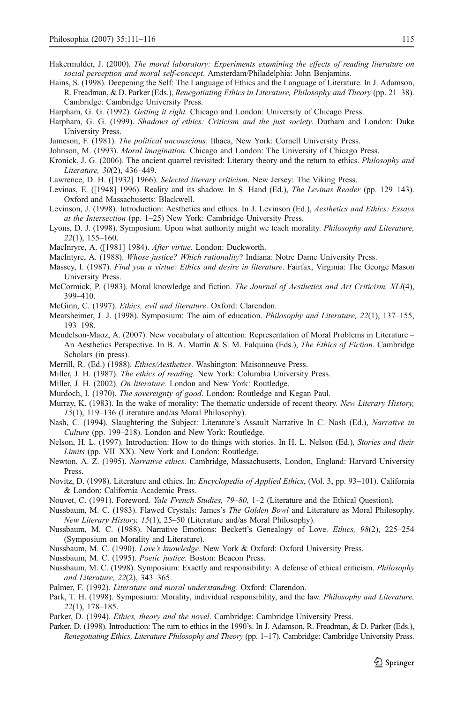- <span id="page-4-0"></span>Hakermulder, J. (2000). The moral laboratory: Experiments examining the effects of reading literature on social perception and moral self-concept. Amsterdam/Philadelphia: John Benjamins.
- Hains, S. (1998). Deepening the Self: The Language of Ethics and the Language of Literature. In J. Adamson, R. Freadman, & D. Parker (Eds.), Renegotiating Ethics in Literature, Philosophy and Theory (pp. 21–38). Cambridge: Cambridge University Press.
- Harpham, G. G. (1992). *Getting it right*. Chicago and London: University of Chicago Press.
- Harpham, G. G. (1999). Shadows of ethics: Criticism and the just society. Durham and London: Duke University Press.
- Jameson, F. (1981). The political unconscious. Ithaca, New York: Cornell University Press.
- Johnson, M. (1993). *Moral imagination*. Chicago and London: The University of Chicago Press.
- Kronick, J. G. (2006). The ancient quarrel revisited: Literary theory and the return to ethics. Philosophy and Literature, 30(2), 436–449.
- Lawrence, D. H. ([1932] 1966). Selected literary criticism. New Jersey: The Viking Press.
- Levinas, E. ([1948] 1996). Reality and its shadow. In S. Hand (Ed.), The Levinas Reader (pp. 129–143). Oxford and Massachusetts: Blackwell.
- Levinson, J. (1998). Introduction: Aesthetics and ethics. In J. Levinson (Ed.), Aesthetics and Ethics: Essays at the Intersection (pp. 1–25) New York: Cambridge University Press.
- Lyons, D. J. (1998). Symposium: Upon what authority might we teach morality. Philosophy and Literature, 22(1), 155–160.
- MacInryre, A. ([1981] 1984). After virtue. London: Duckworth.
- MacIntyre, A. (1988). Whose justice? Which rationality? Indiana: Notre Dame University Press.
- Massey, I. (1987). Find you a virtue: Ethics and desire in literature. Fairfax, Virginia: The George Mason University Press.
- McCormick, P. (1983). Moral knowledge and fiction. The Journal of Aesthetics and Art Criticism, XLI(4), 399–410.
- McGinn, C. (1997). Ethics, evil and literature. Oxford: Clarendon.
- Mearsheimer, J. J. (1998). Symposium: The aim of education. *Philosophy and Literature*, 22(1), 137–155, 193–198.
- Mendelson-Maoz, A. (2007). New vocabulary of attention: Representation of Moral Problems in Literature An Aesthetics Perspective. In B. A. Martín & S. M. Falquina (Eds.), The Ethics of Fiction. Cambridge Scholars (in press).
- Merrill, R. (Ed.) (1988). *Ethics/Aesthetics*. Washington: Maisonneuve Press.
- Miller, J. H. (1987). The ethics of reading. New York: Columbia University Press.
- Miller, J. H. (2002). On literature. London and New York: Routledge.
- Murdoch, I. (1970). *The sovereignty of good*. London: Routledge and Kegan Paul.
- Murray, K. (1983). In the wake of morality: The thematic underside of recent theory. New Literary History, 15(1), 119–136 (Literature and/as Moral Philosophy).
- Nash, C. (1994). Slaughtering the Subject: Literature's Assault Narrative In C. Nash (Ed.), Narrative in Culture (pp. 199–218). London and New York: Routledge.
- Nelson, H. L. (1997). Introduction: How to do things with stories. In H. L. Nelson (Ed.), *Stories and their* Limits (pp. VII–XX). New York and London: Routledge.
- Newton, A. Z. (1995). Narrative ethics. Cambridge, Massachusetts, London, England: Harvard University Press.
- Novitz, D. (1998). Literature and ethics. In: *Encyclopedia of Applied Ethics*, (Vol. 3, pp. 93–101). California & London: California Academic Press.
- Nouvet, C. (1991). Foreword. *Yale French Studies*, 79-80, 1-2 (Literature and the Ethical Question).
- Nussbaum, M. C. (1983). Flawed Crystals: James's The Golden Bowl and Literature as Moral Philosophy. New Literary History, 15(1), 25–50 (Literature and/as Moral Philosophy).
- Nussbaum, M. C. (1988). Narrative Emotions: Beckett's Genealogy of Love. *Ethics*, 98(2), 225–254 (Symposium on Morality and Literature).
- Nussbaum, M. C. (1990). Love's knowledge. New York & Oxford: Oxford University Press.
- Nussbaum, M. C. (1995). Poetic justice. Boston: Beacon Press.
- Nussbaum, M. C. (1998). Symposium: Exactly and responsibility: A defense of ethical criticism. *Philosophy* and Literature, 22(2), 343–365.
- Palmer, F. (1992). Literature and moral understanding. Oxford: Clarendon.
- Park, T. H. (1998). Symposium: Morality, individual responsibility, and the law. *Philosophy and Literature*, 22(1), 178–185.
- Parker, D. (1994). Ethics, theory and the novel. Cambridge: Cambridge University Press.
- Parker, D. (1998). Introduction: The turn to ethics in the 1990's. In J. Adamson, R. Freadman, & D. Parker (Eds.), Renegotiating Ethics, Literature Philosophy and Theory (pp. 1–17). Cambridge: Cambridge University Press.